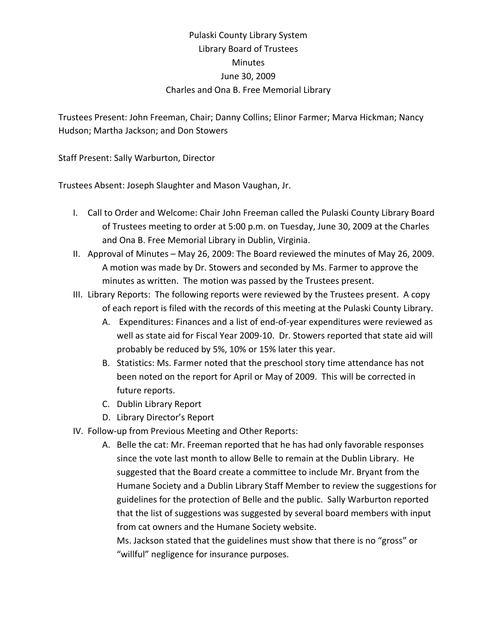## Pulaski County Library System Library Board of Trustees Minutes June 30, 2009 Charles and Ona B. Free Memorial Library

Trustees Present: John Freeman, Chair; Danny Collins; Elinor Farmer; Marva Hickman; Nancy Hudson; Martha Jackson; and Don Stowers

Staff Present: Sally Warburton, Director

Trustees Absent: Joseph Slaughter and Mason Vaughan, Jr.

- I. Call to Order and Welcome: Chair John Freeman called the Pulaski County Library Board of Trustees meeting to order at 5:00 p.m. on Tuesday, June 30, 2009 at the Charles and Ona B. Free Memorial Library in Dublin, Virginia.
- II. Approval of Minutes May 26, 2009: The Board reviewed the minutes of May 26, 2009. A motion was made by Dr. Stowers and seconded by Ms. Farmer to approve the minutes as written. The motion was passed by the Trustees present.
- III. Library Reports: The following reports were reviewed by the Trustees present. A copy of each report is filed with the records of this meeting at the Pulaski County Library.
	- A. Expenditures: Finances and a list of end‐of‐year expenditures were reviewed as well as state aid for Fiscal Year 2009-10. Dr. Stowers reported that state aid will probably be reduced by 5%, 10% or 15% later this year.
	- B. Statistics: Ms. Farmer noted that the preschool story time attendance has not been noted on the report for April or May of 2009. This will be corrected in future reports.
	- C. Dublin Library Report
	- D. Library Director's Report
- IV. Follow‐up from Previous Meeting and Other Reports:
	- A. Belle the cat: Mr. Freeman reported that he has had only favorable responses since the vote last month to allow Belle to remain at the Dublin Library. He suggested that the Board create a committee to include Mr. Bryant from the Humane Society and a Dublin Library Staff Member to review the suggestions for guidelines for the protection of Belle and the public. Sally Warburton reported that the list of suggestions was suggested by several board members with input from cat owners and the Humane Society website.

Ms. Jackson stated that the guidelines must show that there is no "gross" or "willful" negligence for insurance purposes.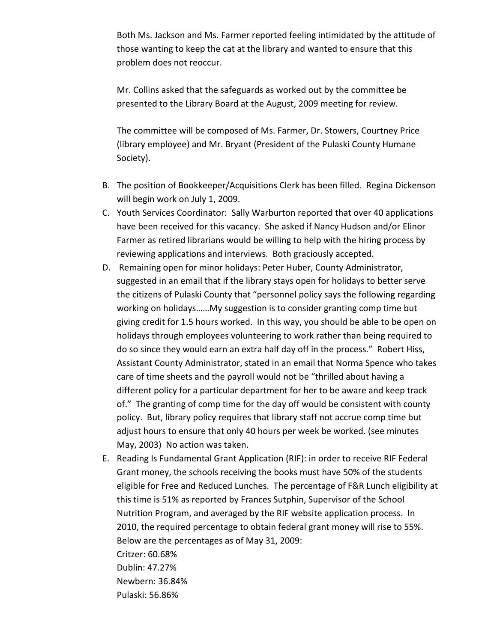Both Ms. Jackson and Ms. Farmer reported feeling intimidated by the attitude of those wanting to keep the cat at the library and wanted to ensure that this problem does not reoccur.

Mr. Collins asked that the safeguards as worked out by the committee be presented to the Library Board at the August, 2009 meeting for review.

The committee will be composed of Ms. Farmer, Dr. Stowers, Courtney Price (library employee) and Mr. Bryant (President of the Pulaski County Humane Society).

- B. The position of Bookkeeper/Acquisitions Clerk has been filled. Regina Dickenson will begin work on July 1, 2009.
- C. Youth Services Coordinator: Sally Warburton reported that over 40 applications have been received for this vacancy. She asked if Nancy Hudson and/or Elinor Farmer as retired librarians would be willing to help with the hiring process by reviewing applications and interviews. Both graciously accepted.
- D. Remaining open for minor holidays: Peter Huber, County Administrator, suggested in an email that if the library stays open for holidays to better serve the citizens of Pulaski County that "personnel policy says the following regarding working on holidays……My suggestion is to consider granting comp time but giving credit for 1.5 hours worked. In this way, you should be able to be open on holidays through employees volunteering to work rather than being required to do so since they would earn an extra half day off in the process." Robert Hiss, Assistant County Administrator, stated in an email that Norma Spence who takes care of time sheets and the payroll would not be "thrilled about having a different policy for a particular department for her to be aware and keep track of." The granting of comp time for the day off would be consistent with county policy. But, library policy requires that library staff not accrue comp time but adjust hours to ensure that only 40 hours per week be worked. (see minutes May, 2003) No action was taken.
- E. Reading Is Fundamental Grant Application (RIF): in order to receive RIF Federal Grant money, the schools receiving the books must have 50% of the students eligible for Free and Reduced Lunches. The percentage of F&R Lunch eligibility at this time is 51% as reported by Frances Sutphin, Supervisor of the School Nutrition Program, and averaged by the RIF website application process. In 2010, the required percentage to obtain federal grant money will rise to 55%. Below are the percentages as of May 31, 2009: Critzer: 60.68%

Dublin: 47.27% Newbern: 36.84% Pulaski: 56.86%